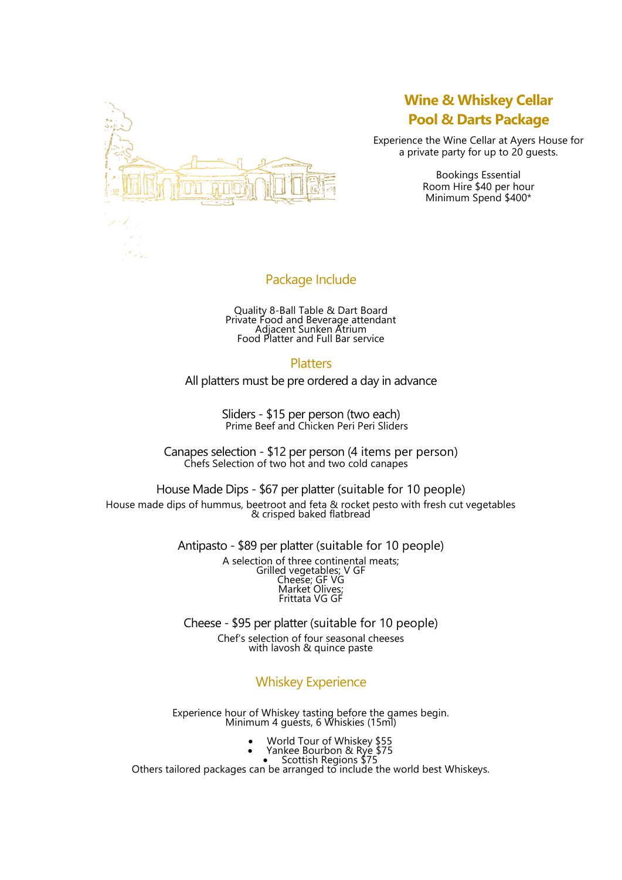

# **Wine & Whiskey Cellar Pool & Darts Package**

Experience the Wine Cellar at Ayers House for a private party for up to 20 guests.

> Bookings Essential Room Hire \$40 per hour Minimum Spend \$400\*

## Package Include

Quality 8-Ball Table & Dart Board Private Food and Beverage attendant Adjacent Sunken Atrium Food Platter and Full Bar service

#### **Platters**

All platters must be pre ordered a day in advance

Sliders - \$15 per person (two each) Prime Beef and Chicken Peri Peri Sliders

Canapes selection - \$12 per person (4 items per person) Chefs Selection of two hot and two cold canapes

House Made Dips - \$67 per platter (suitable for 10 people) House made dips of hummus, beetroot and feta & rocket pesto with fresh cut vegetables & crisped baked flatbread

Antipasto - \$89 per platter (suitable for 10 people)

A selection of three continental meats; Grilled vegetables; V GF Cheese; GF VG Market Olives; Frittata VG GF

Cheese - \$95 per platter (suitable for 10 people) Chef's selection of four seasonal cheeses with lavosh & quince paste

Whiskey Experience

Experience hour of Whiskey tasting before the games begin. Minimum 4 guésts, 6 Whiskies (15ml)

- World Tour of Whiskey \$55
- Yankee Bourbon & Rye \$75
- Scottish Regions \$75

Others tailored packages can be arranged to include the world best Whiskeys.